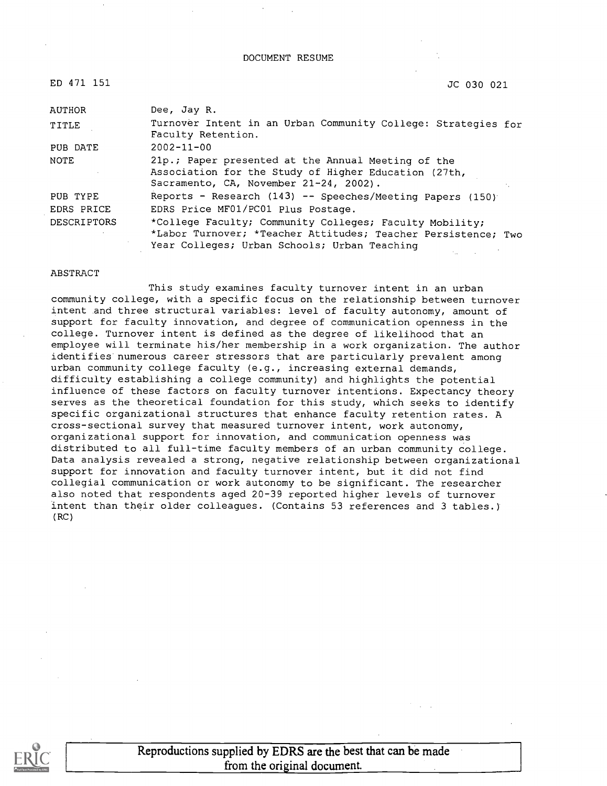#### DOCUMENT RESUME

ED 471 151 JC 030 021

| AUTHOR             | Dee, Jay R.                                                                                                                                                              |
|--------------------|--------------------------------------------------------------------------------------------------------------------------------------------------------------------------|
| TITLE              | Turnover Intent in an Urban Community College: Strategies for<br>Faculty Retention.                                                                                      |
| PUB DATE           | $2002 - 11 - 00$                                                                                                                                                         |
| NOTE               | 21p.; Paper presented at the Annual Meeting of the<br>Association for the Study of Higher Education (27th,<br>Sacramento, CA, November 21-24, 2002).                     |
| PUB TYPE           | Reports - Research $(143)$ -- Speeches/Meeting Papers $(150)$                                                                                                            |
| EDRS PRICE         | EDRS Price MF01/PC01 Plus Postage.                                                                                                                                       |
| <b>DESCRIPTORS</b> | *College Faculty; Community Colleges; Faculty Mobility;<br>*Labor Turnover; *Teacher Attitudes; Teacher Persistence; Two<br>Year Colleges; Urban Schools; Urban Teaching |

#### ABSTRACT

This study examines faculty turnover intent in an urban community college, with a specific focus on the relationship between turnover intent and three structural variables: level of faculty autonomy, amount of support for faculty innovation, and degree of communication openness in the college. Turnover intent is defined as the degree of likelihood that an employee will terminate his/her membership in a work organization. The author identifies numerous career stressors that are particularly prevalent among urban community college faculty (e.g., increasing external demands, difficulty establishing a college community) and highlights the potential influence of these factors on faculty turnover intentions. Expectancy theory serves as the theoretical foundation for this study, which seeks to identify specific organizational structures that enhance faculty retention rates. A cross-sectional survey that measured turnover intent, work autonomy, organizational support for innovation, and communication openness was distributed to all full-time faculty members of an urban community college. Data analysis revealed a strong, negative relationship between organizational support for innovation and faculty turnover intent, but it did not find collegial communication or work autonomy to be significant. The researcher also noted that respondents aged 20-39 reported higher levels of turnover intent than their older colleagues. (Contains 53 references and 3 tables.) (RC)

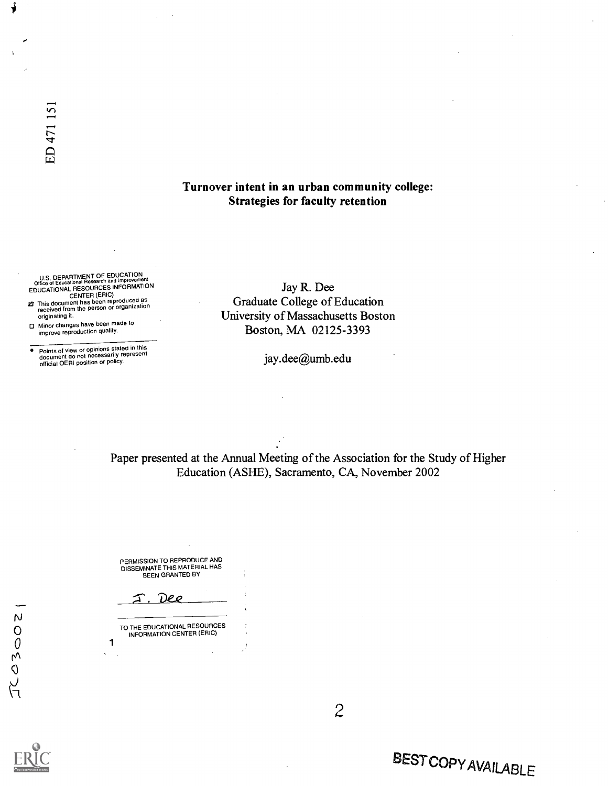#### Turnover intent in an urban community college: Strategies for faculty retention

U.S. DEPARTMENT OF EDUCATION<br>Office of Educational Research and Improvement **EDUCATIONAL RESOURCES INFORMATION** 

- CENTER (ERIC)<br>27 This document has been reproduced as<br>received from the person or organization originating it.
- Minor changes have been made to improve reproduction quality.

° Points of view or opinions stated in this document do not necessarily represent official OERI position or policy.

Jay R. Dee Graduate College of Education University of Massachusetts Boston Boston, MA 02125-3393

jay.dee@umb.edu

Paper presented at the Annual Meeting of the Association for the Study of Higher Education (ASHE), Sacramento, CA, November 2002

PERMISSION TO REPRODUCE AND DISSEMINATE THIS MATERIAL HAS BEEN GRANTED BY

Deo

TO THE EDUCATIONAL RESOURCES INFORMATION CENTER (ERIC) 1

2

# BESTCOPYAVAILABLE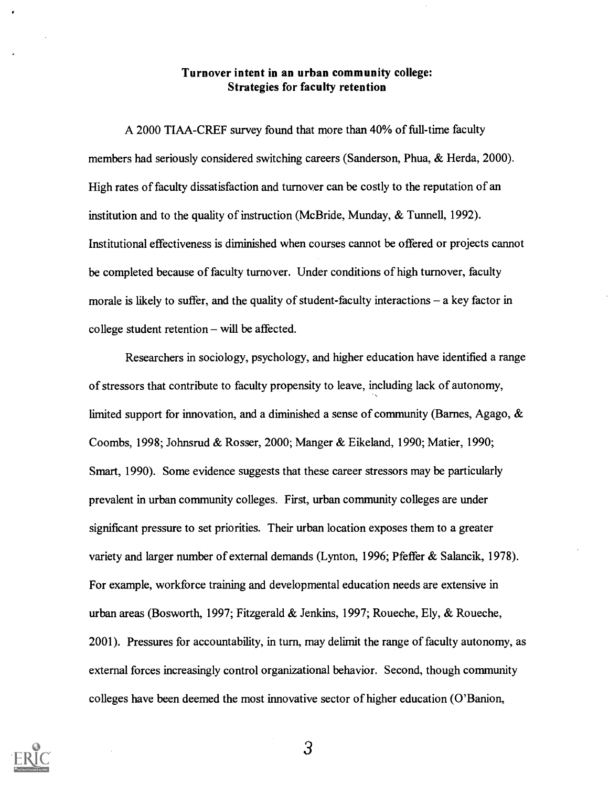#### Turnover intent in an urban community college: Strategies for faculty retention

A 2000 TIAA-CREF survey found that more than 40% of full-time faculty members had seriously considered switching careers (Sanderson, Phua, & Herda, 2000). High rates of faculty dissatisfaction and turnover can be costly to the reputation of an institution and to the quality of instruction (McBride, Munday, & Tunnell, 1992). Institutional effectiveness is diminished when courses cannot be offered or projects cannot be completed because of faculty turnover. Under conditions of high turnover, faculty morale is likely to suffer, and the quality of student-faculty interactions  $-$  a key factor in college student retention  $-$  will be affected.

Researchers in sociology, psychology, and higher education have identified a range of stressors that contribute to faculty propensity to leave, including lack of autonomy, limited support for innovation, and a diminished a sense of community (Barnes, Agago, & Coombs, 1998; Johnsrud & Rosser, 2000; Manger & Eikeland, 1990; Matier, 1990; Smart, 1990). Some evidence suggests that these career stressors may be particularly prevalent in urban community colleges. First, urban community colleges are under significant pressure to set priorities. Their urban location exposes them to a greater variety and larger number of external demands (Lynton, 1996; Pfeffer & Salancik, 1978). For example, workforce training and developmental education needs are extensive in urban areas (Bosworth, 1997; Fitzgerald & Jenkins, 1997; Roueche, Ely, & Roueche, 2001). Pressures for accountability, in turn, may delimit the range of faculty autonomy, as external forces increasingly control organizational behavior. Second, though community colleges have been deemed the most innovative sector of higher education (O'Banion,

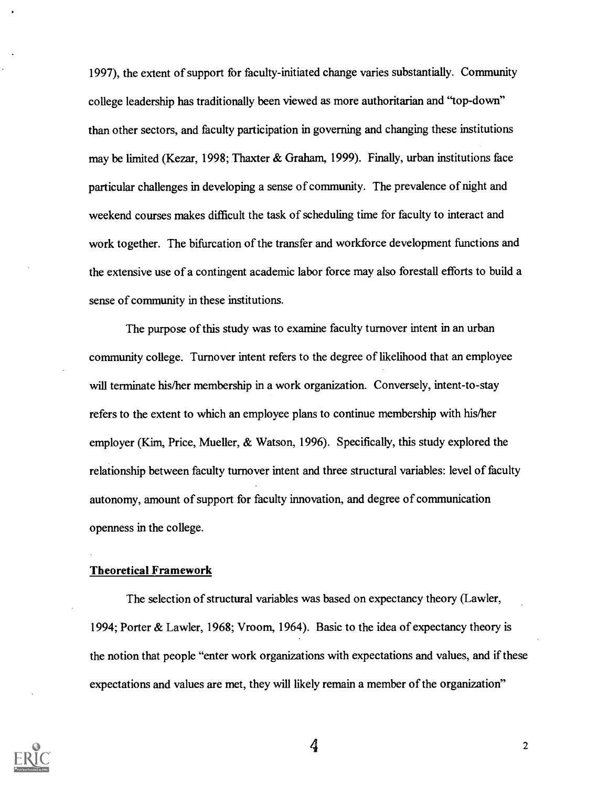1997), the extent of support for faculty-initiated change varies substantially. Community college leadership has traditionally been viewed as more authoritarian and "top-down" than other sectors, and faculty participation in governing and changing these institutions may be limited (Kezar, 1998; Thaxter & Graham, 1999). Finally, urban institutions face particular challenges in developing a sense of community. The prevalence of night and weekend courses makes difficult the task of scheduling time for faculty to interact and work together. The bifurcation of the transfer and workforce development functions and the extensive use of a contingent academic labor force may also forestall efforts to build a sense of community in these institutions.

The purpose of this study was to examine faculty turnover intent in an urban community college. Turnover intent refers to the degree of likelihood that an employee will terminate his/her membership in a work organization. Conversely, intent-to-stay refers to the extent to which an employee plans to continue membership with his/her employer (Kim, Price, Mueller, & Watson, 1996). Specifically, this study explored the relationship between faculty turnover intent and three structural variables: level of faculty autonomy, amount of support for faculty innovation, and degree of communication openness in the college.

#### Theoretical Framework

The selection of structural variables was based on expectancy theory (Lawler, 1994; Porter & Lawler, 1968; Vroom, 1964). Basic to the idea of expectancy theory is the notion that people "enter work organizations with expectations and values, and if these expectations and values are met, they will likely remain a member of the organization"

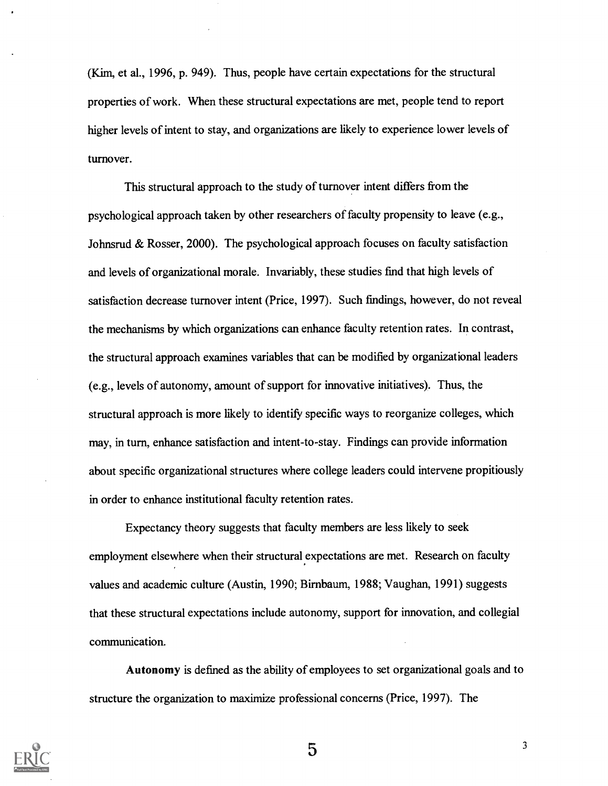(Kim, et al., 1996, p. 949). Thus, people have certain expectations for the structural properties of work. When these structural expectations are met, people tend to report higher levels of intent to stay, and organizations are likely to experience lower levels of turnover.

This structural approach to the study of turnover intent differs from the psychological approach taken by other researchers of faculty propensity to leave (e.g., Johnsrud & Rosser, 2000). The psychological approach focuses on faculty satisfaction and levels of organizational morale. Invariably, these studies find that high levels of satisfaction decrease turnover intent (Price, 1997). Such findings, however, do not reveal the mechanisms by which organizations can enhance faculty retention rates. In contrast, the structural approach examines variables that can be modified by organizational leaders (e.g., levels of autonomy, amount of support for innovative initiatives). Thus, the structural approach is more likely to identify specific ways to reorganize colleges, which may, in turn, enhance satisfaction and intent-to-stay. Findings can provide information about specific organizational structures where college leaders could intervene propitiously in order to enhance institutional faculty retention rates.

Expectancy theory suggests that faculty members are less likely to seek employment elsewhere when their structural expectations are met. Research on faculty values and academic culture (Austin, 1990; Birnbaum, 1988; Vaughan, 1991) suggests that these structural expectations include autonomy, support for innovation, and collegial communication.

Autonomy is defined as the ability of employees to set organizational goals and to structure the organization to maximize professional concerns (Price, 1997). The



5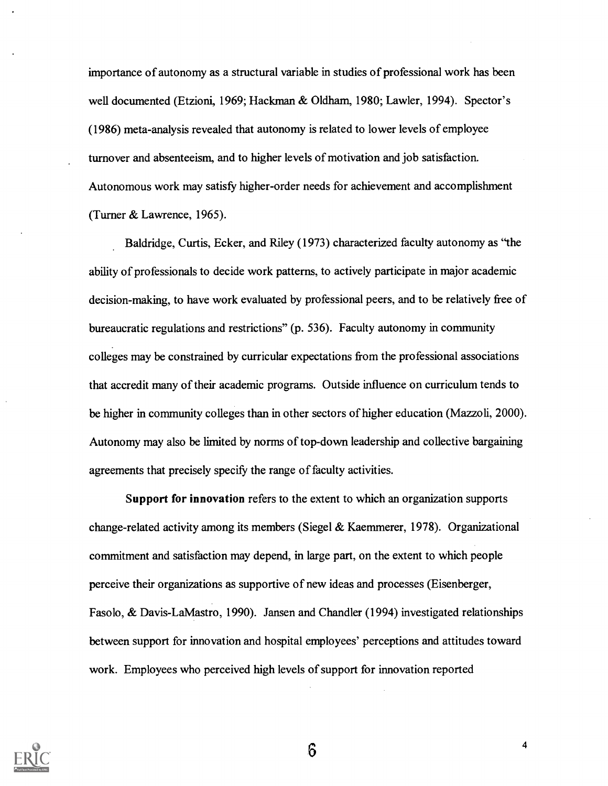importance of autonomy as a structural variable in studies of professional work has been well documented (Etzioni, 1969; Hackman & Oldham, 1980; Lawler, 1994). Spector's (1986) meta-analysis revealed that autonomy is related to lower levels of employee turnover and absenteeism, and to higher levels of motivation and job satisfaction. Autonomous work may satisfy higher-order needs for achievement and accomplishment (Turner & Lawrence, 1965).

Baldridge, Curtis, Ecker, and Riley (1973) characterized faculty autonomy as "the ability of professionals to decide work patterns, to actively participate in major academic decision-making, to have work evaluated by professional peers, and to be relatively free of bureaucratic regulations and restrictions" (p. 536). Faculty autonomy in community colleges may be constrained by curricular expectations from the professional associations that accredit many of their academic programs. Outside influence on curriculum tends to be higher in community colleges than in other sectors of higher education (Mazzoli, 2000). Autonomy may also be limited by norms of top-down leadership and collective bargaining agreements that precisely specify the range of faculty activities.

Support for innovation refers to the extent to which an organization supports change-related activity among its members (Siegel & Kaemmerer, 1978). Organizational commitment and satisfaction may depend, in large part, on the extent to which people perceive their organizations as supportive of new ideas and processes (Eisenberger, Fasolo, & Davis-LaMastro, 1990). Jansen and Chandler (1994) investigated relationships between support for innovation and hospital employees' perceptions and attitudes toward work. Employees who perceived high levels of support for innovation reported



 $6\phantom{1}6$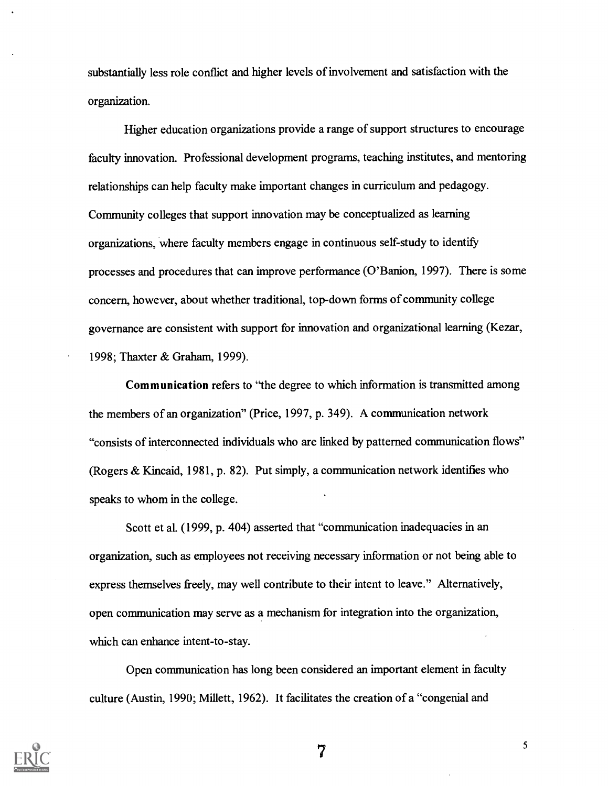substantially less role conflict and higher levels of involvement and satisfaction with the organization.

Higher education organizations provide a range of support structures to encourage faculty innovation. Professional development programs, teaching institutes, and mentoring relationships can help faculty make important changes in curriculum and pedagogy. Community colleges that support innovation may be conceptualized as learning organizations, where faculty members engage in continuous self-study to identify processes and procedures that can improve performance (O'Banion, 1997). There is some concern, however, about whether traditional, top-down forms of community college governance are consistent with support for innovation and organizational learning (Kezar, 1998; Thaxter & Graham, 1999).

Communication refers to "the degree to which information is transmitted among the members of an organization" (Price, 1997, p. 349). A communication network "consists of interconnected individuals who are linked by patterned communication flows" (Rogers & Kincaid, 1981, p. 82). Put simply, a communication network identifies who speaks to whom in the college.

Scott et al. (1999, p. 404) asserted that "communication inadequacies in an organization, such as employees not receiving necessary information or not being able to express themselves freely, may well contribute to their intent to leave." Alternatively, open communication may serve as a mechanism for integration into the organization, which can enhance intent-to-stay.

Open communication has long been considered an important element in faculty culture (Austin, 1990; Millett, 1962). It facilitates the creation of a "congenial and



7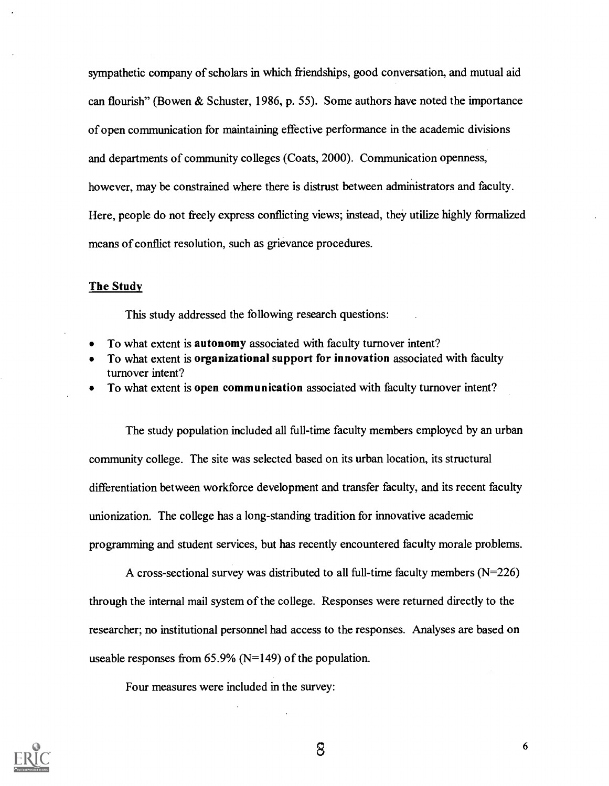sympathetic company of scholars in which friendships, good conversation, and mutual aid can flourish" (Bowen & Schuster, 1986, p. 55). Some authors have noted the importance of open communication for maintaining effective performance in the academic divisions and departments of community colleges (Coats, 2000). Communication openness, however, may be constrained where there is distrust between administrators and faculty. Here, people do not freely express conflicting views; instead, they utilize highly formalized means of conflict resolution, such as grievance procedures.

#### The Study

This study addressed the following research questions:

- To what extent is autonomy associated with faculty turnover intent?
- To what extent is organizational support for innovation associated with faculty turnover intent?
- To what extent is open communication associated with faculty turnover intent?

The study population included all full-time faculty members employed by an urban community college. The site was selected based on its urban location, its structural differentiation between workforce development and transfer faculty, and its recent faculty unionization. The college has a long-standing tradition for innovative academic programming and student services, but has recently encountered faculty morale problems.

A cross-sectional survey was distributed to all full-time faculty members  $(N=226)$ through the internal mail system of the college. Responses were returned directly to the researcher; no institutional personnel had access to the responses. Analyses are based on useable responses from  $65.9\%$  (N=149) of the population.

Four measures were included in the survey:

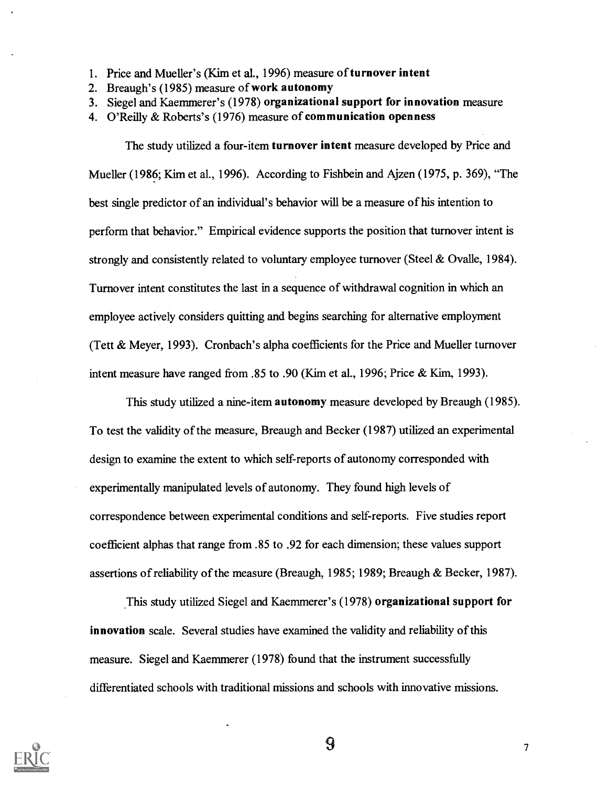- 1. Price and Mueller's (Kim et al., 1996) measure of turnover intent
- 2. Breaugh's (1985) measure of work autonomy
- 3. Siegel and Kaemmerer's (1978) organizational support for innovation measure
- 4. O'Reilly & Roberts's (1976) measure of communication openness

The study utilized a four-item turnover intent measure developed by Price and Mueller (1986; Kim et al., 1996). According to Fishbein and Ajzen (1975, p. 369), "The best single predictor of an individual's behavior will be a measure of his intention to perform that behavior." Empirical evidence supports the position that turnover intent is strongly and consistently related to voluntary employee turnover (Steel & Ovalle, 1984). Turnover intent constitutes the last in a sequence of withdrawal cognition in which an employee actively considers quitting and begins searching for alternative employment (Tett & Meyer, 1993). Cronbach's alpha coefficients for the Price and Mueller turnover intent measure have ranged from .85 to .90 (Kim et al., 1996; Price & Kim, 1993).

This study utilized a nine-item autonomy measure developed by Breaugh (1985). To test the validity of the measure, Breaugh and Becker (1987) utilized an experimental design to examine the extent to which self-reports of autonomy corresponded with experimentally manipulated levels of autonomy. They found high levels of correspondence between experimental conditions and self-reports. Five studies report coefficient alphas that range from .85 to .92 for each dimension; these values support assertions of reliability of the measure (Breaugh, 1985; 1989; Breaugh & Becker, 1987).

This study utilized Siegel and Kaemmerer's (1978) organizational support for innovation scale. Several studies have examined the validity and reliability of this measure. Siegel and Kaemmerer (1978) found that the instrument successfully differentiated schools with traditional missions and schools with innovative missions.



 $9 \t\t\t 7$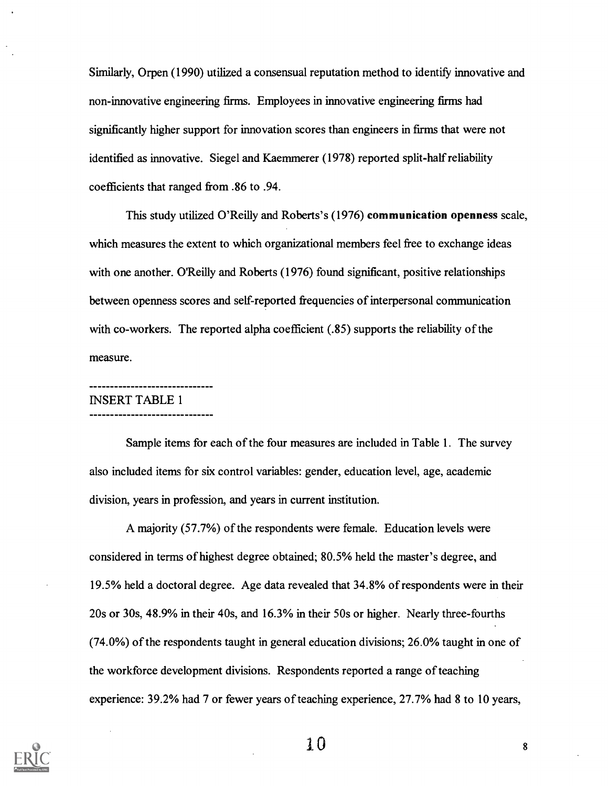Similarly, Orpen (1990) utilized a consensual reputation method to identify innovative and non-innovative engineering firms. Employees in innovative engineering firms had significantly higher support for innovation scores than engineers in firms that were not identified as innovative. Siegel and Kaemmerer (1978) reported split-half reliability coefficients that ranged from .86 to .94.

This study utilized O'Reilly and Roberts's (1976) communication openness scale, which measures the extent to which organizational members feel free to exchange ideas with one another. O'Reilly and Roberts (1976) found significant, positive relationships between openness scores and self-reported frequencies of interpersonal communication with co-workers. The reported alpha coefficient (.85) supports the reliability of the measure.

## INSERT TABLE 1

--------------------------

Sample items for each of the four measures are included in Table 1. The survey also included items for six control variables: gender, education level, age, academic division, years in profession, and years in current institution.

A majority (57.7%) of the respondents were female. Education levels were considered in terms of highest degree obtained; 80.5% held the master's degree, and 19.5% held a doctoral degree. Age data revealed that 34.8% of respondents were in their 20s or 30s, 48.9% in their 40s, and 16.3% in their 50s or higher. Nearly three-fourths (74.0%) of the respondents taught in general education divisions; 26.0% taught in one of the workforce development divisions. Respondents reported a range of teaching experience: 39.2% had 7 or fewer years of teaching experience, 27.7% had 8 to 10 years,

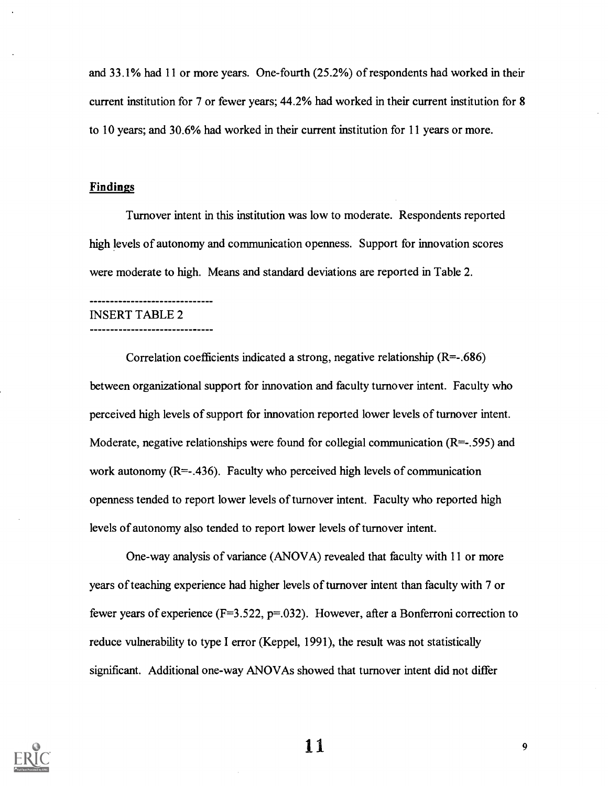and 33.1% had 11 or more years. One-fourth (25.2%) of respondents had worked in their current institution for 7 or fewer years; 44.2% had worked in their current institution for 8 to 10 years; and 30.6% had worked in their current institution for 11 years or more.

#### Findings

Turnover intent in this institution was low to moderate. Respondents reported high levels of autonomy and communication openness. Support for innovation scores were moderate to high. Means and standard deviations are reported in Table 2.

#### INSERT TABLE 2

#### -------------------------------

--------------------------

Correlation coefficients indicated a strong, negative relationship  $(R=-.686)$ between organizational support for innovation and faculty turnover intent. Faculty who perceived high levels of support for innovation reported lower levels of turnover intent. Moderate, negative relationships were found for collegial communication  $(R=-.595)$  and work autonomy  $(R=-.436)$ . Faculty who perceived high levels of communication openness tended to report lower levels of turnover intent. Faculty who reported high levels of autonomy also tended to report lower levels of turnover intent.

One-way analysis of variance (ANOVA) revealed that faculty with 11 or more years of teaching experience had higher levels of turnover intent than faculty with 7 or fewer years of experience ( $F=3.522$ ,  $p=.032$ ). However, after a Bonferroni correction to reduce vulnerability to type I error (Keppel, 1991), the result was not statistically significant. Additional one-way ANOVAs showed that turnover intent did not differ



 $\mathbf{11}$  9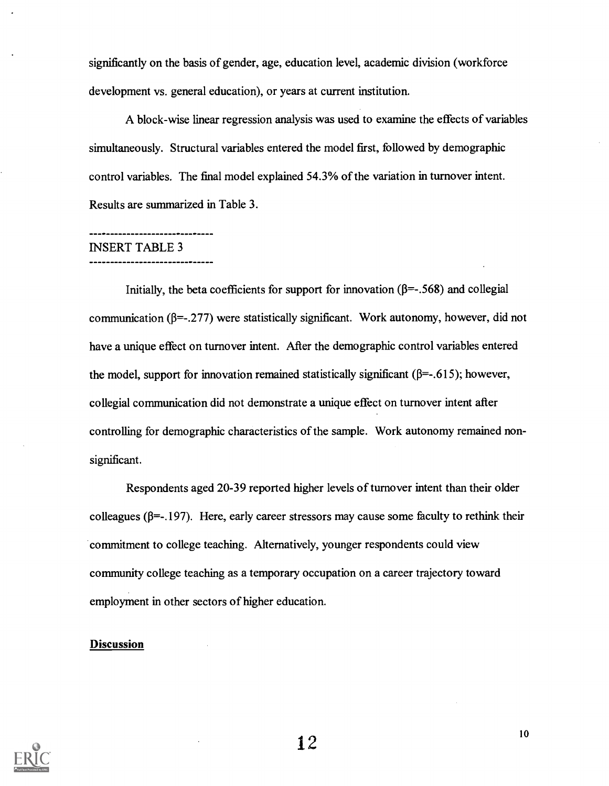significantly on the basis of gender, age, education level, academic division (workforce development vs. general education), or years at current institution.

A block-wise linear regression analysis was used to examine the effects of variables simultaneously. Structural variables entered the model first, followed by demographic control variables. The final model explained 54.3% of the variation in turnover intent. Results are summarized in Table 3.

#### ----------------------------INSERT TABLE 3

#### -----------------------------

Initially, the beta coefficients for support for innovation  $(\beta = -0.568)$  and collegial communication ( $\beta$ =-.277) were statistically significant. Work autonomy, however, did not have a unique effect on turnover intent. After the demographic control variables entered the model, support for innovation remained statistically significant ( $\beta$ =-.615); however, collegial communication did not demonstrate a unique effect on turnover intent after controlling for demographic characteristics of the sample. Work autonomy remained nonsignificant.

Respondents aged 20-39 reported higher levels of turnover intent than their older colleagues ( $\beta$ =-.197). Here, early career stressors may cause some faculty to rethink their commitment to college teaching. Alternatively, younger respondents could view community college teaching as a temporary occupation on a career trajectory toward employment in other sectors of higher education.

#### Discussion

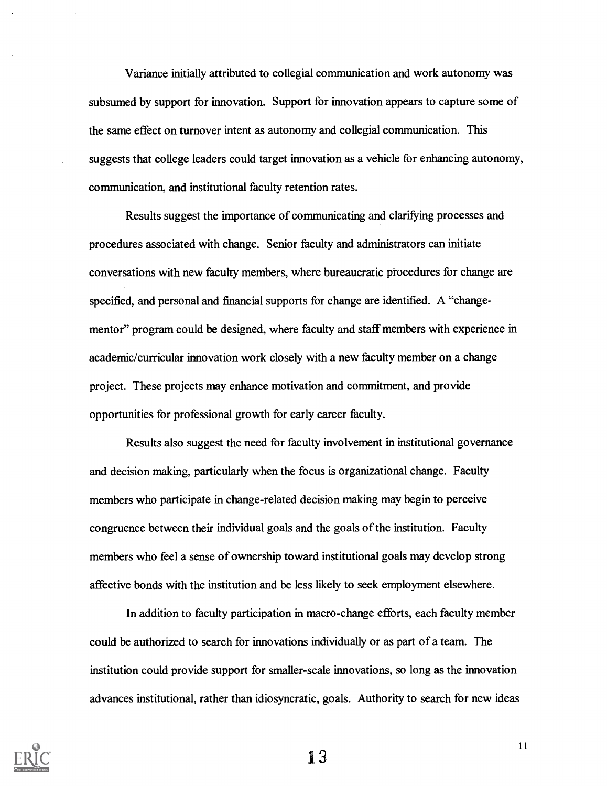Variance initially attributed to collegial communication and work autonomy was subsumed by support for innovation. Support for innovation appears to capture some of the same effect on turnover intent as autonomy and collegial communication. This suggests that college leaders could target innovation as a vehicle for enhancing autonomy, communication, and institutional faculty retention rates.

Results suggest the importance of communicating and clarifying processes and procedures associated with change. Senior faculty and administrators can initiate conversations with new faculty members, where bureaucratic procedures for change are specified, and personal and financial supports for change are identified. A "changementor" program could be designed, where faculty and staff members with experience in academic/curricular innovation work closely with a new faculty member on a change project. These projects may enhance motivation and commitment, and provide opportunities for professional growth for early career faculty.

Results also suggest the need for faculty involvement in institutional governance and decision making, particularly when the focus is organizational change. Faculty members who participate in change-related decision making may begin to perceive congruence between their individual goals and the goals of the institution. Faculty members who feel a sense of ownership toward institutional goals may develop strong affective bonds with the institution and be less likely to seek employment elsewhere.

In addition to faculty participation in macro-change efforts, each faculty member could be authorized to search for innovations individually or as part of a team. The institution could provide support for smaller-scale innovations, so long as the innovation advances institutional, rather than idiosyncratic, goals. Authority to search for new ideas



13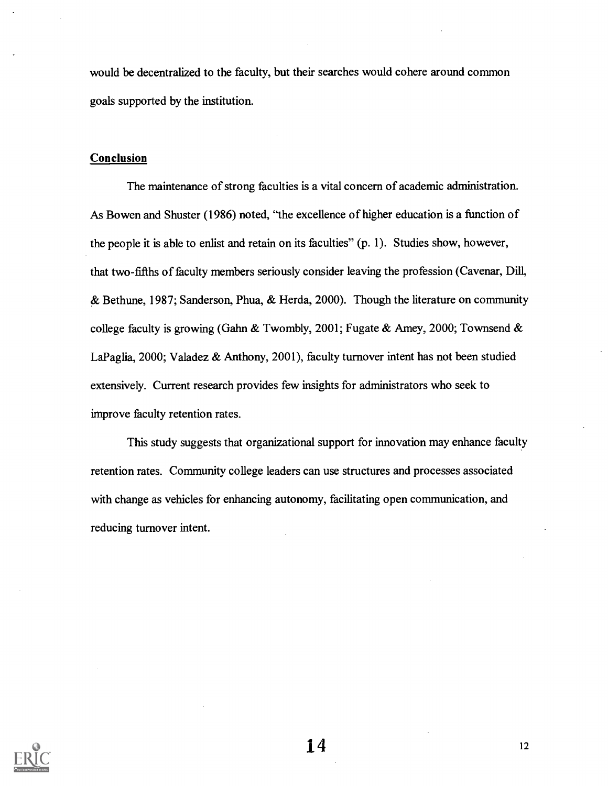would be decentralized to the faculty, but their searches would cohere around common goals supported by the institution.

#### Conclusion

The maintenance of strong faculties is a vital concern of academic administration. As Bowen and Shuster (1986) noted, "the excellence of higher education is a function of the people it is able to enlist and retain on its faculties" (p. 1). Studies show, however, that two-fifths of faculty members seriously consider leaving the profession (Cavenar, Dill, & Bethune, 1987; Sanderson, Phua, & Herda, 2000). Though the literature on community college faculty is growing (Gahn & Twombly, 2001; Fugate & Amey, 2000; Townsend & LaPaglia, 2000; Valadez & Anthony, 2001), faculty turnover intent has not been studied extensively. Current research provides few insights for administrators who seek to improve faculty retention rates.

This study suggests that organizational support for innovation may enhance faculty retention rates. Community college leaders can use structures and processes associated with change as vehicles for enhancing autonomy, facilitating open communication, and reducing turnover intent.

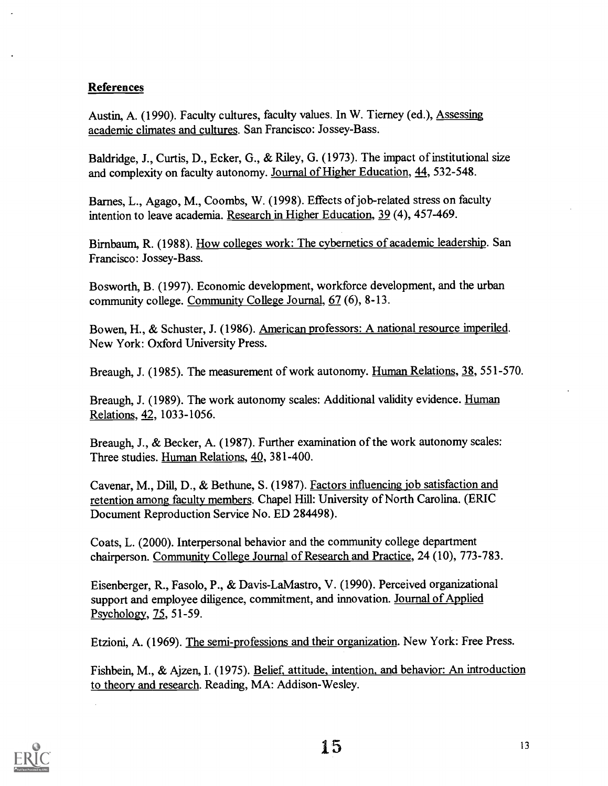#### References

Austin, A. (1990). Faculty cultures, faculty values. In W. Tierney (ed.), Assessing academic climates and cultures. San Francisco: Jossey-Bass.

Baldridge, J., Curtis, D., Ecker, G., & Riley, G. (1973). The impact of institutional size and complexity on faculty autonomy. Journal of Higher Education, 44, 532-548.

Barnes, L., Agago, M., Coombs, W. (1998). Effects of job-related stress on faculty intention to leave academia. Research in Higher Education, 39 (4), 457-469.

Birnbaum, R. (1988). How colleges work: The cybernetics of academic leadership. San Francisco: Jossey-Bass.

Bosworth, B. (1997). Economic development, workforce development, and the urban community college. Community College Journal, 67 (6), 8-13.

Bowen, H., & Schuster, J. (1986). American professors: A national resource imperiled. New York: Oxford University Press.

Breaugh, J. (1985). The measurement of work autonomy. Human Relations, 38, 551-570.

Breaugh, J. (1989). The work autonomy scales: Additional validity evidence. Human Relations, 42, 1033-1056.

Breaugh, J., & Becker, A. (1987). Further examination of the work autonomy scales: Three studies. Human Relations, 40, 381-400.

Cavenar, M., Dill, D., & Bethune, S. (1987). Factors influencing job satisfaction and retention among faculty members. Chapel Hill: University of North Carolina. (ERIC Document Reproduction Service No. ED 284498).

Coats, L. (2000). Interpersonal behavior and the community college department chairperson. Community College Journal of Research and Practice, 24 (10), 773-783.

Eisenberger, R., Fasolo, P., & Davis-LaMastro, V. (1990). Perceived organizational support and employee diligence, commitment, and innovation. Journal of Applied Psychology, 75, 51-59.

Etzioni, A. (1969). The semi-professions and their organization. New York: Free Press.

Fishbein, M., & Ajzen, I. (1975). Belief, attitude, intention, and behavior: An introduction to theory and research. Reading, MA: Addison-Wesley.

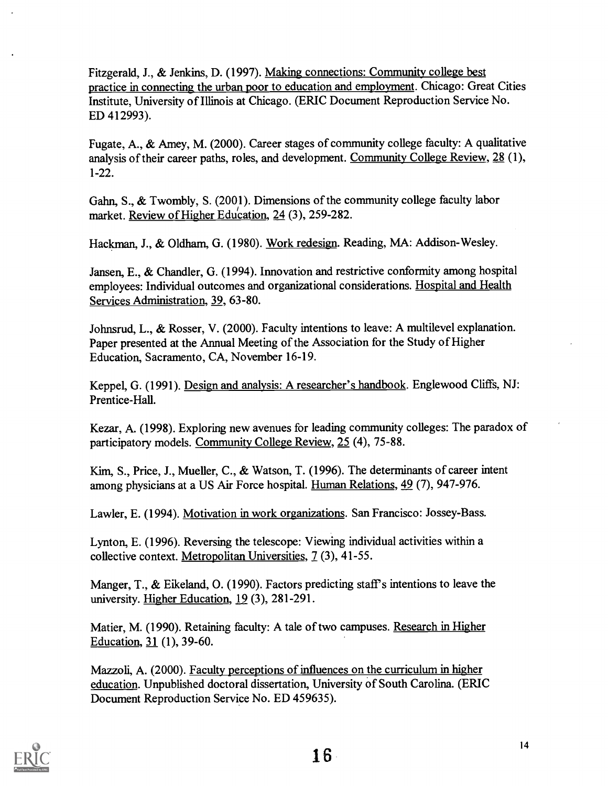Fitzgerald, J., & Jenkins, D. (1997). Making connections: Community college best practice in connecting the urban poor to education and employment. Chicago: Great Cities Institute, University of Illinois at Chicago. (ERIC Document Reproduction Service No. ED 412993).

Fugate, A., & Amey, M. (2000). Career stages of community college faculty: A qualitative analysis of their career paths, roles, and development. Community College Review, 28 (1), 1-22.

Gahn, S., & Twombly, S. (2001). Dimensions of the community college faculty labor market. Review of Higher Education, 24 (3), 259-282.

Hackman, J., & Oldham, G. (1980). Work redesign. Reading, MA: Addison-Wesley.

Jansen, E., & Chandler, G. (1994). Innovation and restrictive conformity among hospital employees: Individual outcomes and organizational considerations. Hospital and Health Services Administration, 39, 63-80.

Johnsrud, L., & Rosser, V. (2000). Faculty intentions to leave: A multilevel explanation. Paper presented at the Annual Meeting of the Association for the Study of Higher Education, Sacramento, CA, November 16-19.

Keppel, G. (1991). Design and analysis: A researcher's handbook. Englewood Cliffs, NJ: Prentice-Hall.

Kezar, A. (1998). Exploring new avenues for leading community colleges: The paradox of participatory models. Community College Review, 25 (4), 75-88.

Kim, S., Price, J., Mueller, C., & Watson, T. (1996). The determinants of career intent among physicians at a US Air Force hospital. Human Relations, 49 (7), 947-976.

Lawler, E. (1994). Motivation in work organizations. San Francisco: Jossey-Bass.

Lynton, E. (1996). Reversing the telescope: Viewing individual activities within a collective context. Metropolitan Universities, 7 (3), 41-55.

Manger, T., & Eikeland, O. (1990). Factors predicting staff's intentions to leave the university. Higher Education, 19 (3), 281-291.

Matier, M. (1990). Retaining faculty: A tale of two campuses. Research in Higher Education, 31 (1), 39-60.

Mazzoli, A. (2000). Faculty perceptions of influences on the curriculum in higher education. Unpublished doctoral dissertation, University of South Carolina. (ERIC Document Reproduction Service No. ED 459635).

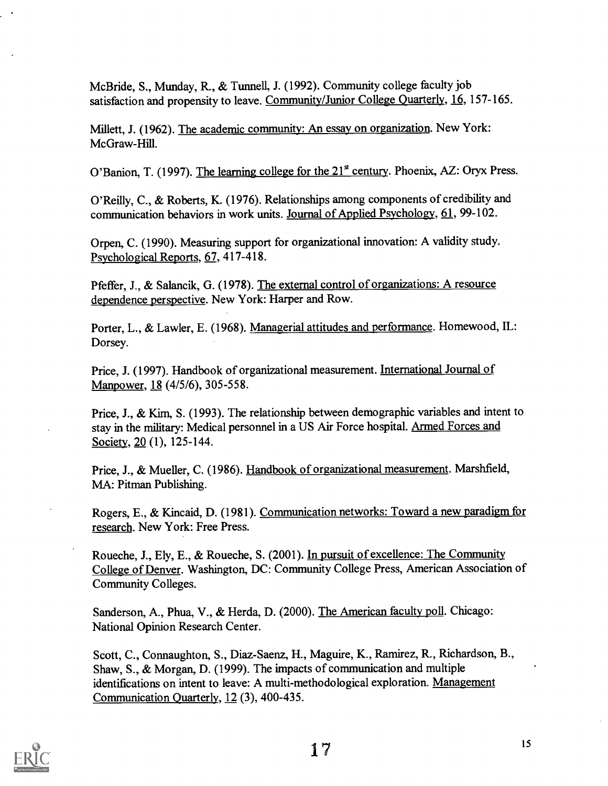McBride, S., Munday, R., & Tunnell, J. (1992). Community college faculty job satisfaction and propensity to leave. Community/Junior College Quarterly, 16, 157-165.

Millett, J. (1962). The academic community: An essay on organization. New York: McGraw-Hill.

O'Banion, T. (1997). The learning college for the  $21<sup>st</sup>$  century. Phoenix, AZ: Oryx Press.

O'Reilly, C., & Roberts, K. (1976). Relationships among components of credibility and communication behaviors in work units. Journal of Applied Psychology, 61, 99-102.

Orpen, C. (1990). Measuring support for organizational innovation: A validity study. Psychological Reports, 67, 417-418.

Pfeffer, J., & Salancik, G. (1978). The external control of organizations: A resource dependence perspective. New York: Harper and Row.

Porter, L., & Lawler, E. (1968). Managerial attitudes and performance. Homewood, IL: Dorsey.

Price, J. (1997). Handbook of organizational measurement. International Journal of Manpower, 18 (4/5/6), 305-558.

Price, J., & Kim, S. (1993). The relationship between demographic variables and intent to stay in the military: Medical personnel in a US Air Force hospital. Armed Forces and Society, 20 (1), 125-144.

Price, J., & Mueller, C. (1986). Handbook of organizational measurement. Marshfield, MA: Pitman Publishing.

Rogers, E., & Kincaid, D. (1981). Communication networks: Toward a new paradigm for research. New York: Free Press.

Roueche, J., Ely, E., & Roueche, S. (2001). In pursuit of excellence: The Community College of Denver. Washington, DC: Community College Press, American Association of Community Colleges.

Sanderson, A., Phua, V., & Herda, D. (2000). The American faculty poll. Chicago: National Opinion Research Center.

Scott, C., Connaughton, S., Diaz-Saenz, H., Maguire, K., Ramirez, R., Richardson, B., Shaw, S., & Morgan, D. (1999). The impacts of communication and multiple identifications on intent to leave: A multi-methodological exploration. Management Communication Quarterly, 12 (3), 400-435.

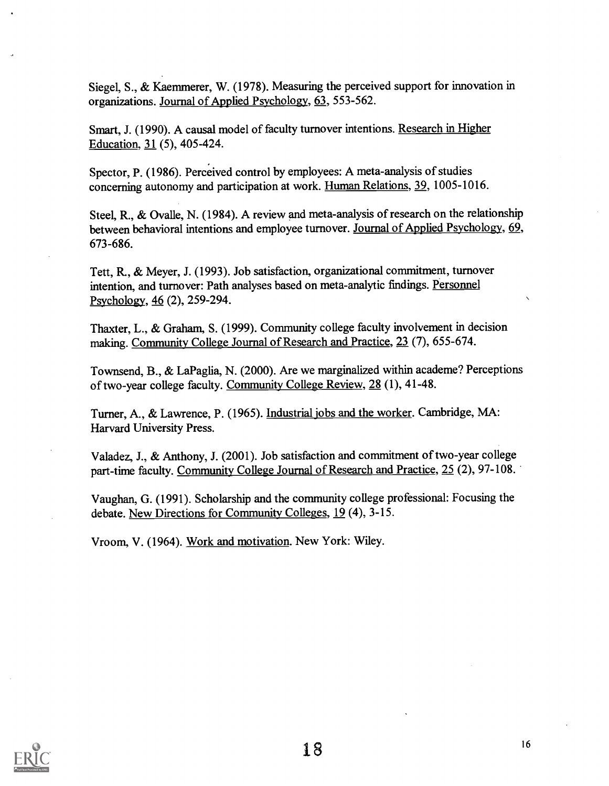Siegel, S., & Kaemmerer, W. (1978). Measuring the perceived support for innovation in organizations. Journal of Applied Psychology, 63, 553-562.

Smart, J. (1990). A causal model of faculty turnover intentions. Research in Higher Education, 31 (5), 405-424.

Spector, P. (1986). Perceived control by employees: A meta-analysis of studies concerning autonomy and participation at work. Human Relations, 39, 1005-1016.

Steel, R., & Ovalle, N. (1984). A review and meta-analysis of research on the relationship between behavioral intentions and employee turnover. Journal of Applied Psychology, 69, 673-686.

Tett, R., & Meyer, J. (1993). Job satisfaction, organizational commitment, turnover intention, and turnover: Path analyses based on meta-analytic findings. Personnel Psychology, 46 (2), 259-294.

Thaxter, L., & Graham, S. (1999). Community college faculty involvement in decision making. Community College Journal of Research and Practice, 23 (7), 655-674.

Townsend, B., & LaPaglia, N. (2000). Are we marginalized within academe? Perceptions of two-year college faculty. Community College Review, 28 (1), 41-48.

Turner, A., & Lawrence, P. (1965). Industrial jobs and the worker. Cambridge, MA: Harvard University Press.

Valadez, J., & Anthony, J. (2001). Job satisfaction and commitment of two-year college part-time faculty. Community College Journal of Research and Practice, 25 (2), 97-108.

Vaughan, G. (1991). Scholarship and the community college professional: Focusing the debate. New Directions for Community Colleges, 19 (4), 3-15.

Vroom, V. (1964). Work and motivation. New York: Wiley.

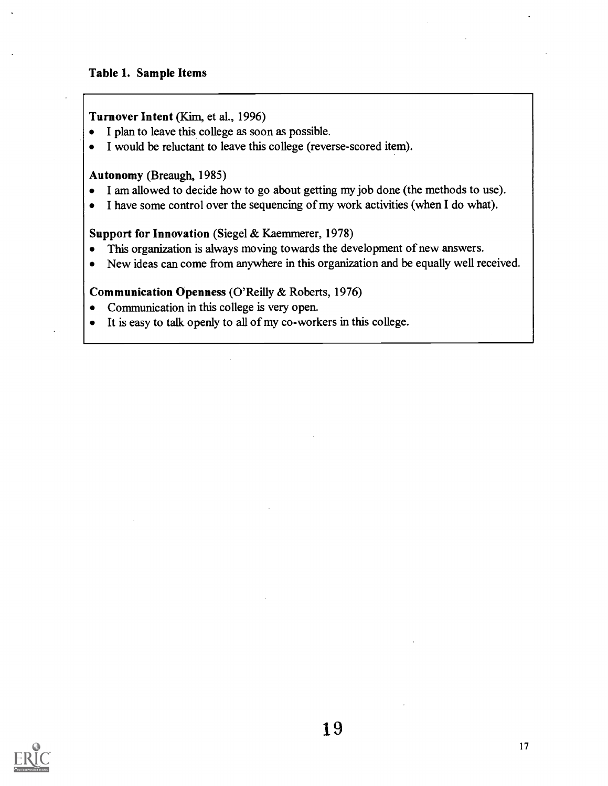#### Table 1. Sample Items

#### Turnover Intent (Kim, et al., 1996)

- I plan to leave this college as soon as possible.
- I would be reluctant to leave this college (reverse-scored item).

#### Autonomy (Breaugh, 1985)

- I am allowed to decide how to go about getting my job done (the methods to use).  $\bullet$
- I have some control over the sequencing of my work activities (when I do what).  $\bullet$

#### Support for Innovation (Siegel & Kaemmerer, 1978)

- This organization is always moving towards the development of new answers.  $\bullet$
- New ideas can come from anywhere in this organization and be equally well received.  $\bullet$

#### Communication Openness (O'Reilly & Roberts, 1976)

- Communication in this college is very open.  $\bullet$
- It is easy to talk openly to all of my co-workers in this college.

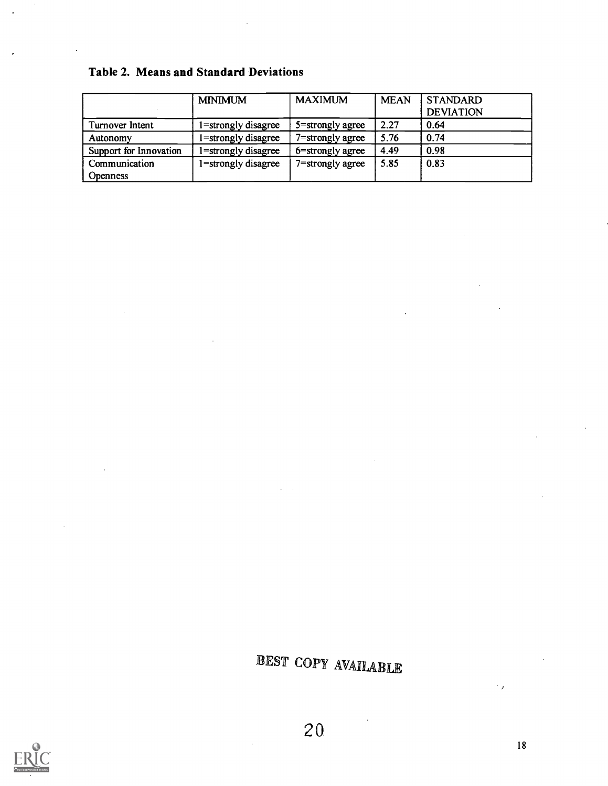|  |  |  | <b>Table 2. Means and Standard Deviations</b> |  |
|--|--|--|-----------------------------------------------|--|
|--|--|--|-----------------------------------------------|--|

|                        | <b>MINIMUM</b>      | <b>MAXIMUM</b>      | <b>MEAN</b> | <b>STANDARD</b><br><b>DEVIATION</b> |
|------------------------|---------------------|---------------------|-------------|-------------------------------------|
| Turnover Intent        | 1=strongly disagree | $5$ =strongly agree | 2.27        | 0.64                                |
| Autonomy               | 1=strongly disagree | 7=strongly agree    | 5.76        | 0.74                                |
| Support for Innovation | 1=strongly disagree | 6=strongly agree    | 4.49        | 0.98                                |
| Communication          | 1=strongly disagree | 7=strongly agree    | 5.85        | 0.83                                |
| <b>Openness</b>        |                     |                     |             |                                     |

 $\bar{z}$ 

EST COPY AVAILABLE



L

 $\hat{\boldsymbol{\delta}}$ 

 $\overline{a}$ 

 $\cdot$  ,

 $\sim$   $\alpha$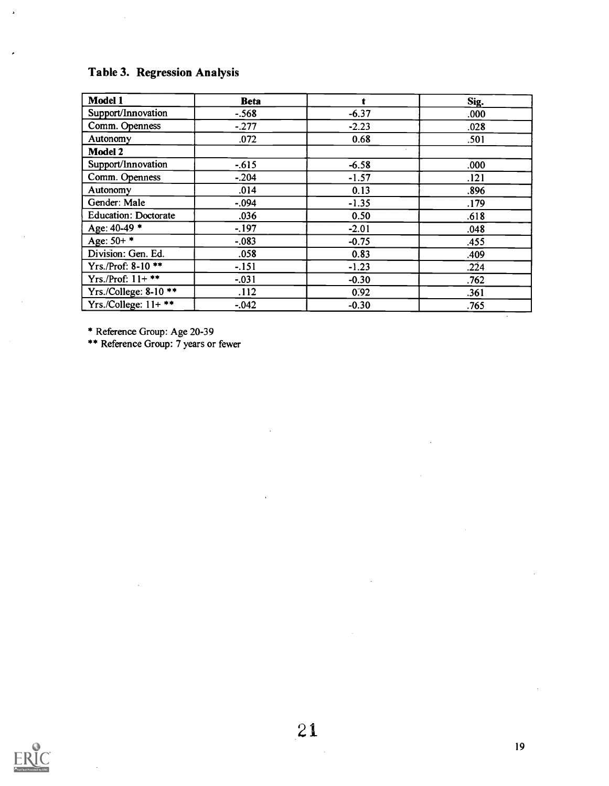## Table 3. Regression Analysis

 $\overline{a}$ 

 $\overline{\phantom{a}}$ 

| Model 1                     | <b>Beta</b> | t       | Sig. |
|-----------------------------|-------------|---------|------|
| Support/Innovation          | $-.568$     | $-6.37$ | .000 |
| Comm. Openness              | $-277$      | $-2.23$ | .028 |
| Autonomy                    | .072        | 0.68    | .501 |
| Model 2                     |             |         |      |
| Support/Innovation          | $-.615$     | $-6.58$ | .000 |
| Comm. Openness              | $-.204$     | $-1.57$ | .121 |
| Autonomy                    | .014        | 0.13    | .896 |
| Gender: Male                | $-.094$     | $-1.35$ | .179 |
| <b>Education: Doctorate</b> | .036        | 0.50    | .618 |
| Age: 40-49 *                | $-197$      | $-2.01$ | .048 |
| Age: $50+$ *                | $-.083$     | $-0.75$ | .455 |
| Division: Gen. Ed.          | .058        | 0.83    | .409 |
| Yrs./Prof: 8-10 **          | $-.151$     | $-1.23$ | .224 |
| Yrs./Prof: $11+***$         | $-.031$     | $-0.30$ | .762 |
| Yrs./College: 8-10 **       | .112        | 0.92    | .361 |
| Yrs./College: $11+***$      | $-.042$     | $-0.30$ | .765 |

\* Reference Group: Age 20-39

\*\* Reference Group: 7 years or fewer



 $\ddot{\phantom{a}}$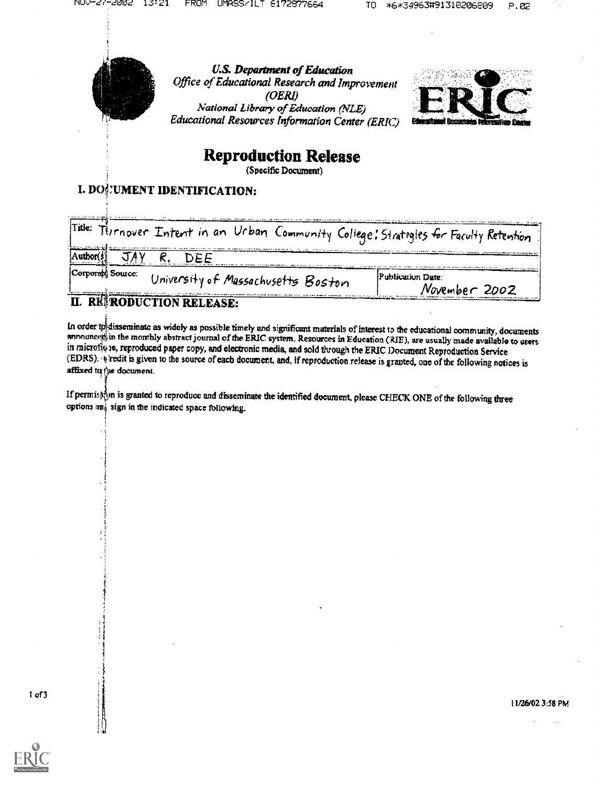

U.S. Department of Education Office of Educational Research and Improvement (OERI) National Library of Education (NLE) Educational Resources Information Center (ERIC)



## Reproduction Release

(Specific Document)

## I. DONUMENT IDENTIFICATION:

| a secondo com serve conseguidos con se se se se a consequente<br>Title: | Tirrnover Intent in an Urban Community College: Strategies for Faculty Retention                                                                                                                                                                                     | <u>. Mindages Press as , et a considere a un dermonational para la consideración de la capacidad compressional como compressor de la c</u> |
|-------------------------------------------------------------------------|----------------------------------------------------------------------------------------------------------------------------------------------------------------------------------------------------------------------------------------------------------------------|--------------------------------------------------------------------------------------------------------------------------------------------|
|                                                                         |                                                                                                                                                                                                                                                                      | <u>темпек колдонулган көп көп каттан өзөн өлөнө колдону каттан башкана тарып, адамда маландардын каттарын каттан</u>                       |
| Corporably Source:                                                      | University of Massachusetts Boston<br>Maline in the state of a construction of the control of the Company of the manner and the manner of the company of the state of the company of the state of the state of the state of the state of the state of the state of t | The contents of a second account<br>Publication Date:<br>November 2002                                                                     |
|                                                                         |                                                                                                                                                                                                                                                                      |                                                                                                                                            |

## ULIUN KELEASE:

In order to disseminate as widely as possible timely and significant materials of interest to the educational community, documents announced in the monthly abstract journal of the ERIC system, Resources in Education (RIE), in microfly ie, reproduced paper copy, and electronic media, and sold through the ERIC Document Reproduction Service (EDRS). If redit is given to the source of each document, and, if reproduction release is granted, one of the following notices is affixed tu the document.

If permisk<sub>o</sub>m is granted to reproduce and disseminate the identified document, please CEIECK ONE of the following three options  $\mathfrak{m}_1$  sign in the indicated space following.

1 of 3



 $\mathbf{r}$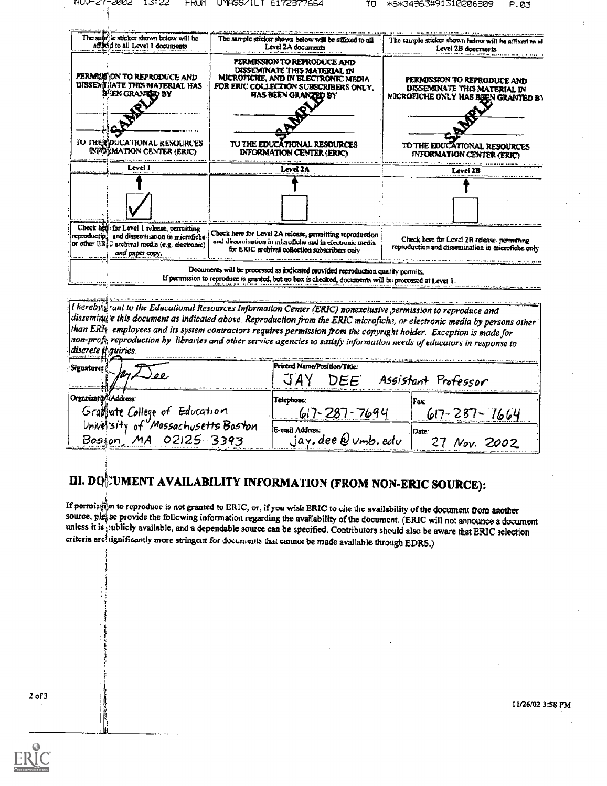۱İ

|                      | The sum is sticker shown below will be<br>afflickd to all Level 1 documents                                                                                       | The sample sticker shown below will be affixed to all<br>Level 2A documents                                                                                                              | The sample sticker shown helow will be affixed to all<br>Level 2B documents                        |
|----------------------|-------------------------------------------------------------------------------------------------------------------------------------------------------------------|------------------------------------------------------------------------------------------------------------------------------------------------------------------------------------------|----------------------------------------------------------------------------------------------------|
|                      | PERMINIS ON TO REPRODUCE AND<br>DISSENIMATE THIS MATERIAL HAS<br><b>H'EN GRANTED BY</b>                                                                           | PERMISSION TO REPRODUCE AND<br>DISSEMINATE THIS MATERIAL IN<br>MICROFICHE, AND IN ELECTRONIC MEDIA<br>FOR ERIC COLLECTION SUBSCRIBERS ONLY.<br>HAS BEEN GRANZED BY                       | PERMISSION TO REPRODUCE AND<br>DISSEMINATE THIS MATERIAL IN<br>NECROFICHE ONLY HAS BEEN GRANTED BY |
|                      |                                                                                                                                                                   |                                                                                                                                                                                          |                                                                                                    |
|                      | TO THE POULATIONAL RESOURCES<br><b>INFORMATION CENTER (ERIC)</b>                                                                                                  | TU THE EDUCATIONAL RESOURCES<br><b>INFORMATION CENTER (ERIC)</b>                                                                                                                         | TO THE EDUCATIONAL RESOURCES<br><b>INFORMATION CENTER (ERIC)</b>                                   |
|                      | Level 1                                                                                                                                                           | Level 2A                                                                                                                                                                                 | Level 2B                                                                                           |
|                      |                                                                                                                                                                   |                                                                                                                                                                                          |                                                                                                    |
|                      |                                                                                                                                                                   |                                                                                                                                                                                          |                                                                                                    |
|                      | Check hell: for Level 1 release, permitting<br>reproductio; and dissemination in microfiche<br>or other ERI c archival media (e.g. electronic)<br>and paper copy. | Check here for Level 2A release, permitting reproduction<br>and dissemination in microficire and in electronic media<br>for ERIC archival collection subscribers only                    | Check here for Level 2B release, permitting<br>reproduction and dissemination in microfiche only   |
|                      |                                                                                                                                                                   | Documents will be processed as indicated provided reproduction quality permits,<br>If permission to reproduce is granted, but no box is checked, documents will be processed at Levet 1. |                                                                                                    |
|                      |                                                                                                                                                                   |                                                                                                                                                                                          |                                                                                                    |
|                      |                                                                                                                                                                   | I hereby frunt to the Educational Resources Information Center (ERIC) nonexclusive permission to reproduce and                                                                           |                                                                                                    |
|                      |                                                                                                                                                                   | dissemindle this document as indicated above. Reproduction from the ERIC microfiche, or electronic media by persons other                                                                |                                                                                                    |
|                      |                                                                                                                                                                   | than ERI employees and its system contractors requires permission from the copyright holder. Exception is made for                                                                       |                                                                                                    |
| discrete il quiries. |                                                                                                                                                                   | non-profic reproduction by libraries and other service agencies to satisfy information needs of educators in response to                                                                 |                                                                                                    |
| Siguatureș           |                                                                                                                                                                   | Printed Name/Position/Title:                                                                                                                                                             |                                                                                                    |
|                      |                                                                                                                                                                   | "T`ANZ                                                                                                                                                                                   | ノッシンファー コーラウ                                                                                       |

| <b>SIEDATUTES A.</b>                                          | IFI WAALI INGURAT CISILIKAT/ 1 ISBC.<br>DEE | Assistant Professor |
|---------------------------------------------------------------|---------------------------------------------|---------------------|
| Organization/Address:<br>Granate College of Education         | Telephone:<br>71.09 U                       | (Fax:               |
| University of Massachusetts Boston<br>MA 02125 3393<br>Bosion | E-mail Address:<br>$jay,$ dee $Q$ umb, edu  | Date.<br>Nov. 2002  |

# III. DO $_{0}^{k}$ UMENT AVAILABILITY INFORMATION (FROM NON-ERIC SOURCE):

If permistical to reproduce is not granted to ERIC, or, if you wish ERIC to cite the availability of the document from another source, ples se provide the following information regarding the availability of the document. (ERIC will not announce a document unless it is ; ublicly available, and a dependable source can be specified. Contributors should also be aware that ERIC selection criteria are significantly more stringent for documents that examot be made available through EDRS.)

2 of 3

II/25102 358 PM